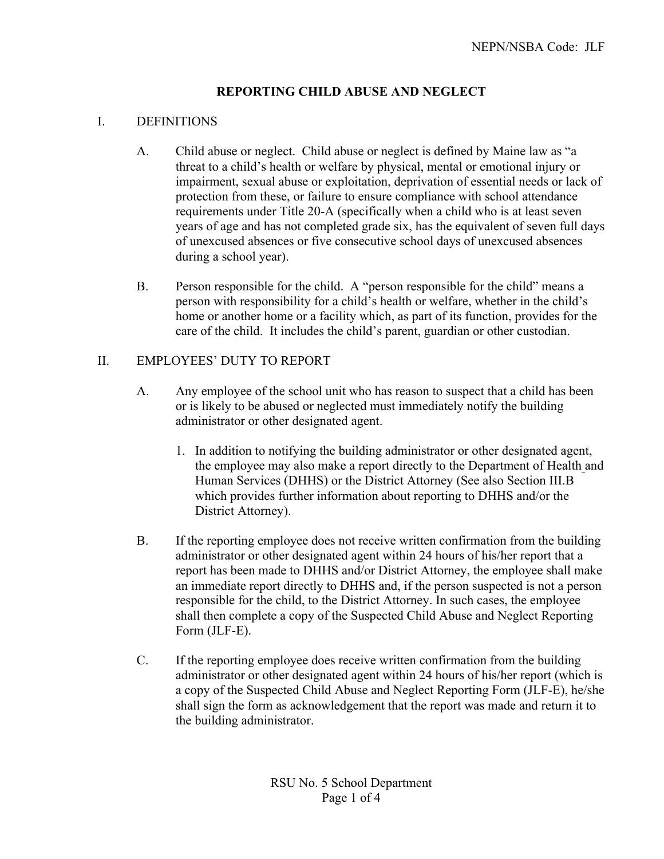# **REPORTING CHILD ABUSE AND NEGLECT**

### I. DEFINITIONS

- A. Child abuse or neglect. Child abuse or neglect is defined by Maine law as "a threat to a child's health or welfare by physical, mental or emotional injury or impairment, sexual abuse or exploitation, deprivation of essential needs or lack of protection from these, or failure to ensure compliance with school attendance requirements under Title 20-A (specifically when a child who is at least seven years of age and has not completed grade six, has the equivalent of seven full days of unexcused absences or five consecutive school days of unexcused absences during a school year).
- B. Person responsible for the child. A "person responsible for the child" means a person with responsibility for a child's health or welfare, whether in the child's home or another home or a facility which, as part of its function, provides for the care of the child. It includes the child's parent, guardian or other custodian.

### II. EMPLOYEES' DUTY TO REPORT

- A. Any employee of the school unit who has reason to suspect that a child has been or is likely to be abused or neglected must immediately notify the building administrator or other designated agent.
	- 1. In addition to notifying the building administrator or other designated agent, the employee may also make a report directly to the Department of Health and Human Services (DHHS) or the District Attorney (See also Section III.B which provides further information about reporting to DHHS and/or the District Attorney).
- B. If the reporting employee does not receive written confirmation from the building administrator or other designated agent within 24 hours of his/her report that a report has been made to DHHS and/or District Attorney, the employee shall make an immediate report directly to DHHS and, if the person suspected is not a person responsible for the child, to the District Attorney. In such cases, the employee shall then complete a copy of the Suspected Child Abuse and Neglect Reporting Form (JLF-E).
- C. If the reporting employee does receive written confirmation from the building administrator or other designated agent within 24 hours of his/her report (which is a copy of the Suspected Child Abuse and Neglect Reporting Form (JLF-E), he/she shall sign the form as acknowledgement that the report was made and return it to the building administrator.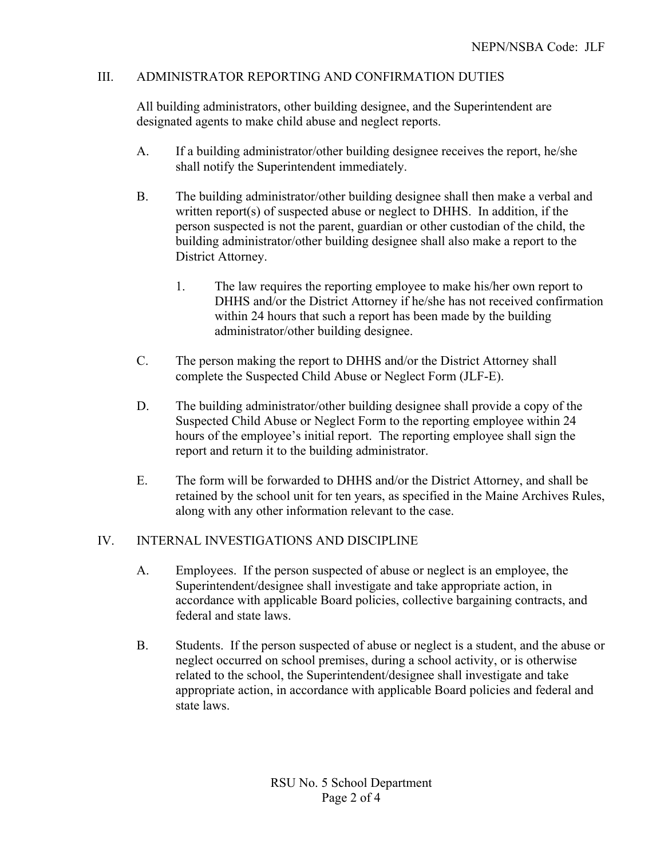## III. ADMINISTRATOR REPORTING AND CONFIRMATION DUTIES

All building administrators, other building designee, and the Superintendent are designated agents to make child abuse and neglect reports.

- A. If a building administrator/other building designee receives the report, he/she shall notify the Superintendent immediately.
- B. The building administrator/other building designee shall then make a verbal and written report(s) of suspected abuse or neglect to DHHS. In addition, if the person suspected is not the parent, guardian or other custodian of the child, the building administrator/other building designee shall also make a report to the District Attorney.
	- 1. The law requires the reporting employee to make his/her own report to DHHS and/or the District Attorney if he/she has not received confirmation within 24 hours that such a report has been made by the building administrator/other building designee.
- C. The person making the report to DHHS and/or the District Attorney shall complete the Suspected Child Abuse or Neglect Form (JLF-E).
- D. The building administrator/other building designee shall provide a copy of the Suspected Child Abuse or Neglect Form to the reporting employee within 24 hours of the employee's initial report. The reporting employee shall sign the report and return it to the building administrator.
- E. The form will be forwarded to DHHS and/or the District Attorney, and shall be retained by the school unit for ten years, as specified in the Maine Archives Rules, along with any other information relevant to the case.

### IV. INTERNAL INVESTIGATIONS AND DISCIPLINE

- A. Employees. If the person suspected of abuse or neglect is an employee, the Superintendent/designee shall investigate and take appropriate action, in accordance with applicable Board policies, collective bargaining contracts, and federal and state laws.
- B. Students. If the person suspected of abuse or neglect is a student, and the abuse or neglect occurred on school premises, during a school activity, or is otherwise related to the school, the Superintendent/designee shall investigate and take appropriate action, in accordance with applicable Board policies and federal and state laws.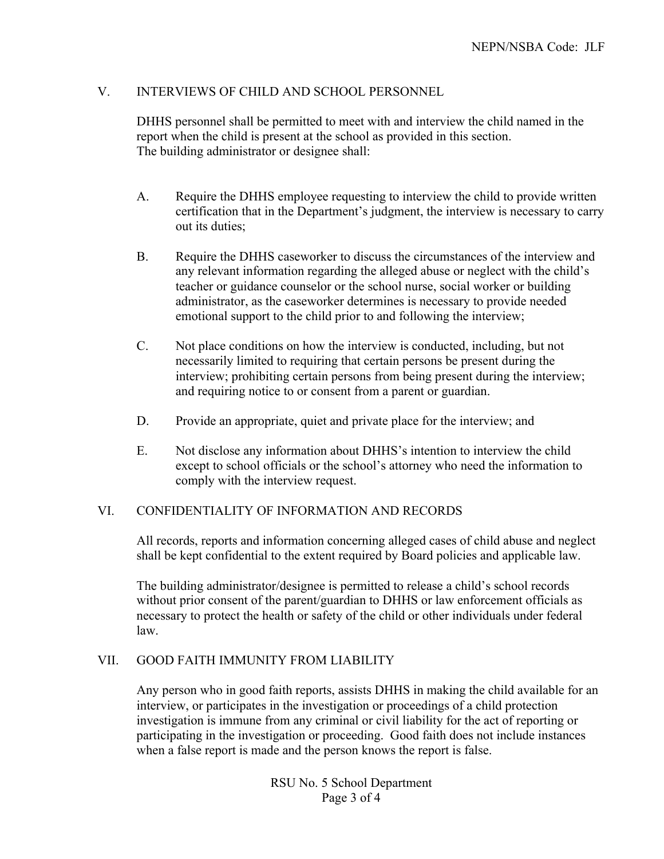## V. INTERVIEWS OF CHILD AND SCHOOL PERSONNEL

DHHS personnel shall be permitted to meet with and interview the child named in the report when the child is present at the school as provided in this section. The building administrator or designee shall:

- A. Require the DHHS employee requesting to interview the child to provide written certification that in the Department's judgment, the interview is necessary to carry out its duties;
- B. Require the DHHS caseworker to discuss the circumstances of the interview and any relevant information regarding the alleged abuse or neglect with the child's teacher or guidance counselor or the school nurse, social worker or building administrator, as the caseworker determines is necessary to provide needed emotional support to the child prior to and following the interview;
- C. Not place conditions on how the interview is conducted, including, but not necessarily limited to requiring that certain persons be present during the interview; prohibiting certain persons from being present during the interview; and requiring notice to or consent from a parent or guardian.
- D. Provide an appropriate, quiet and private place for the interview; and
- E. Not disclose any information about DHHS's intention to interview the child except to school officials or the school's attorney who need the information to comply with the interview request.

### VI. CONFIDENTIALITY OF INFORMATION AND RECORDS

All records, reports and information concerning alleged cases of child abuse and neglect shall be kept confidential to the extent required by Board policies and applicable law.

The building administrator/designee is permitted to release a child's school records without prior consent of the parent/guardian to DHHS or law enforcement officials as necessary to protect the health or safety of the child or other individuals under federal law.

### VII. GOOD FAITH IMMUNITY FROM LIABILITY

Any person who in good faith reports, assists DHHS in making the child available for an interview, or participates in the investigation or proceedings of a child protection investigation is immune from any criminal or civil liability for the act of reporting or participating in the investigation or proceeding. Good faith does not include instances when a false report is made and the person knows the report is false.

> RSU No. 5 School Department Page 3 of 4